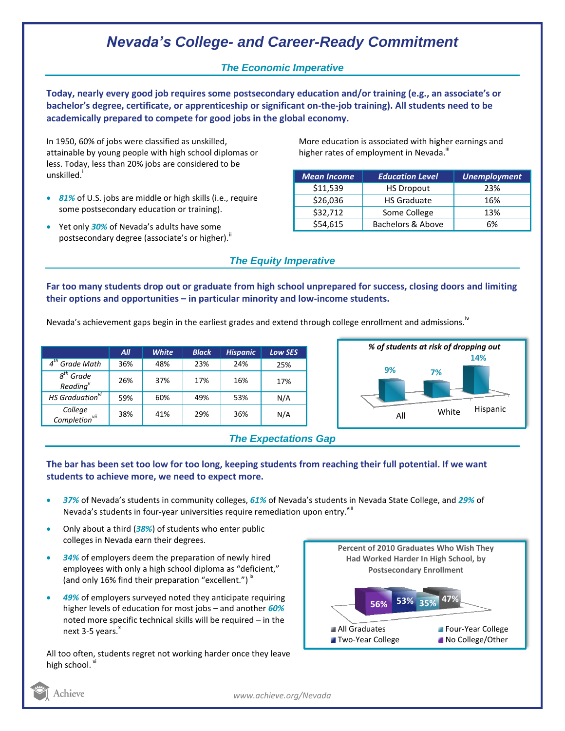# *Nevada's College- and Career-Ready Commitment*

### *The Economic Imperative*

**Today, nearly every good job requires some postsecondary education and/or training (e.g., an associate's or bachelor's degree, certificate, or apprenticeship or significant on-the-job training). All students need to be academically prepared to compete for good jobs in the global economy.**

In 1950, 60% of jobs were classified as unskilled, attainable by young people with high school diplomas or less. Today, less than 20% jobs are considered to be unskilled.<sup>1</sup>

- *81%* of U.S. jobs are middle or high skills (i.e., require some postsecondary education or training).
- Yet only *30%* of Nevada's adults have some postsecondary degree (associate's or higher). $^{\text{ii}}$

More education is associated with higher earnings and higher rates of employment in Nevada.<sup>""</sup>

| <b>Mean Income</b> | <b>Education Level</b> | <b>Unemployment</b> |
|--------------------|------------------------|---------------------|
| \$11,539           | <b>HS Dropout</b>      | 23%                 |
| \$26,036           | <b>HS Graduate</b>     | 16%                 |
| \$32,712           | Some College           | 13%                 |
| \$54,615           | Bachelors & Above      | 6%                  |

### *The Equity Imperative*

**Far too many students drop out or graduate from high school unprepared for success, closing doors and limiting their options and opportunities – in particular minority and low-income students.** 

Nevada's achievement gaps begin in the earliest grades and extend through college enrollment and admissions.<sup>iv</sup>

|                                      | All | <b>White</b> | <b>Black</b> | <b>Hispanic</b> | Low SES |
|--------------------------------------|-----|--------------|--------------|-----------------|---------|
| $4th$ Grade Math                     | 36% | 48%          | 23%          | 24%             | 25%     |
| $8th$ Grade<br>Reading <sup>v</sup>  | 26% | 37%          | 17%          | 16%             | 17%     |
| HS Graduation <sup>vi</sup>          | 59% | 60%          | 49%          | 53%             | N/A     |
| College<br>Completion <sup>vii</sup> | 38% | 41%          | 29%          | 36%             | N/A     |





### **The bar has been set too low for too long, keeping students from reaching their full potential. If we want students to achieve more, we need to expect more.**

- *37%* of Nevada's students in community colleges, *61%* of Nevada's students in Nevada State College, and *29%* of Nevada's students in four-year universities require remediation upon entry. "
- Only about a third (*38%*) of students who enter public colleges in Nevada earn their degrees.
- *34%* of employers deem the preparation of newly hired employees with only a high school diploma as "deficient," (and only 16% find their preparation "excellent.")  $\dot{ }$ "
- *49%* of employers surveyed noted they anticipate requiring higher levels of education for most jobs – and another *60%* noted more specific technical skills will be required – in the next  $3-5$  years. $^{x}$

All too often, students regret not working harder once they leave high school. <sup>xi</sup>



Achieve

*www.achieve.org/Nevada*